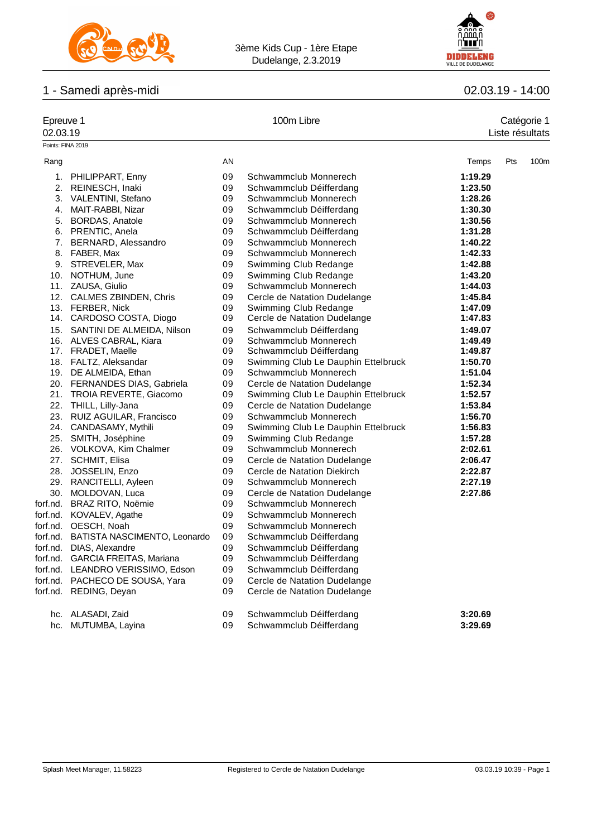

3ème Kids Cup - 1ère Etape Dudelange, 2.3.2019



# 1 - Samedi après-midi 02.03.19 - 14:00

| Epreuve 1<br>02.03.19 |                                                            |          | 100m Libre                                                          |                    | Catégorie 1<br>Liste résultats |                  |  |
|-----------------------|------------------------------------------------------------|----------|---------------------------------------------------------------------|--------------------|--------------------------------|------------------|--|
|                       | Points: FINA 2019                                          |          |                                                                     |                    |                                |                  |  |
| Rang                  |                                                            | AN       |                                                                     | Temps              | Pts                            | 100 <sub>m</sub> |  |
|                       | 1. PHILIPPART, Enny                                        | 09       | Schwammclub Monnerech                                               | 1:19.29            |                                |                  |  |
|                       | 2. REINESCH, Inaki                                         | 09       | Schwammclub Déifferdang                                             | 1:23.50            |                                |                  |  |
|                       | 3. VALENTINI, Stefano                                      | 09       | Schwammclub Monnerech                                               | 1:28.26            |                                |                  |  |
|                       | 4. MAIT-RABBI, Nizar                                       | 09       | Schwammclub Déifferdang                                             | 1:30.30            |                                |                  |  |
|                       | 5. BORDAS, Anatole                                         | 09       | Schwammclub Monnerech                                               | 1:30.56            |                                |                  |  |
|                       | 6. PRENTIC, Anela                                          | 09       | Schwammclub Déifferdang                                             | 1:31.28            |                                |                  |  |
| 7.                    | BERNARD, Alessandro                                        | 09       | Schwammclub Monnerech                                               | 1:40.22            |                                |                  |  |
|                       | 8. FABER, Max                                              | 09       | Schwammclub Monnerech                                               | 1:42.33            |                                |                  |  |
|                       | 9. STREVELER, Max                                          | 09       | Swimming Club Redange                                               | 1:42.88            |                                |                  |  |
|                       | 10. NOTHUM, June                                           | 09       | Swimming Club Redange                                               | 1:43.20            |                                |                  |  |
|                       | 11. ZAUSA, Giulio                                          | 09       | Schwammclub Monnerech                                               | 1:44.03            |                                |                  |  |
|                       | 12. CALMES ZBINDEN, Chris                                  | 09       | Cercle de Natation Dudelange                                        | 1:45.84            |                                |                  |  |
|                       | 13. FERBER, Nick                                           | 09       | Swimming Club Redange                                               | 1:47.09            |                                |                  |  |
|                       | 14. CARDOSO COSTA, Diogo                                   | 09       | Cercle de Natation Dudelange                                        | 1:47.83            |                                |                  |  |
|                       | 15. SANTINI DE ALMEIDA, Nilson                             | 09       | Schwammclub Déifferdang                                             | 1:49.07            |                                |                  |  |
|                       | 16. ALVES CABRAL, Kiara                                    | 09       | Schwammclub Monnerech                                               | 1:49.49            |                                |                  |  |
|                       | 17. FRADET, Maelle                                         | 09       | Schwammclub Déifferdang                                             | 1:49.87            |                                |                  |  |
|                       | 18. FALTZ, Aleksandar                                      | 09       | Swimming Club Le Dauphin Ettelbruck<br>Schwammclub Monnerech        | 1:50.70<br>1:51.04 |                                |                  |  |
|                       | 19. DE ALMEIDA, Ethan                                      | 09<br>09 |                                                                     |                    |                                |                  |  |
|                       | 20. FERNANDES DIAS, Gabriela<br>21. TROIA REVERTE, Giacomo | 09       | Cercle de Natation Dudelange<br>Swimming Club Le Dauphin Ettelbruck | 1:52.34<br>1:52.57 |                                |                  |  |
|                       | 22. THILL, Lilly-Jana                                      | 09       | Cercle de Natation Dudelange                                        | 1:53.84            |                                |                  |  |
|                       | 23. RUIZ AGUILAR, Francisco                                | 09       | Schwammclub Monnerech                                               | 1:56.70            |                                |                  |  |
|                       | 24. CANDASAMY, Mythili                                     | 09       | Swimming Club Le Dauphin Ettelbruck                                 | 1:56.83            |                                |                  |  |
|                       | 25. SMITH, Joséphine                                       | 09       | Swimming Club Redange                                               | 1:57.28            |                                |                  |  |
|                       | 26. VOLKOVA, Kim Chalmer                                   | 09       | Schwammclub Monnerech                                               | 2:02.61            |                                |                  |  |
|                       | 27. SCHMIT, Elisa                                          | 09       | Cercle de Natation Dudelange                                        | 2:06.47            |                                |                  |  |
|                       | 28. JOSSELIN, Enzo                                         | 09       | Cercle de Natation Diekirch                                         | 2:22.87            |                                |                  |  |
|                       | 29. RANCITELLI, Ayleen                                     | 09       | Schwammclub Monnerech                                               | 2:27.19            |                                |                  |  |
|                       | 30. MOLDOVAN, Luca                                         | 09       | Cercle de Natation Dudelange                                        | 2:27.86            |                                |                  |  |
|                       | forf.nd. BRAZ RITO, Noëmie                                 | 09       | Schwammclub Monnerech                                               |                    |                                |                  |  |
|                       | forf.nd. KOVALEV, Agathe                                   | 09       | Schwammclub Monnerech                                               |                    |                                |                  |  |
|                       | forf.nd. OESCH, Noah                                       | 09       | Schwammclub Monnerech                                               |                    |                                |                  |  |
|                       | forf.nd. BATISTA NASCIMENTO, Leonardo                      | 09       | Schwammclub Déifferdang                                             |                    |                                |                  |  |
|                       | forf.nd. DIAS, Alexandre                                   | 09       | Schwammclub Déifferdang                                             |                    |                                |                  |  |
| forf.nd.              | GARCIA FREITAS, Mariana                                    | 09       | Schwammclub Déifferdang                                             |                    |                                |                  |  |
| forf.nd.              | LEANDRO VERISSIMO, Edson                                   | 09       | Schwammclub Déifferdang                                             |                    |                                |                  |  |
| forf.nd.              | PACHECO DE SOUSA, Yara                                     | 09       | Cercle de Natation Dudelange                                        |                    |                                |                  |  |
| forf.nd.              | REDING, Deyan                                              | 09       | Cercle de Natation Dudelange                                        |                    |                                |                  |  |
| hc.                   | ALASADI, Zaid                                              | 09       | Schwammclub Déifferdang                                             | 3:20.69            |                                |                  |  |
| hc.                   | MUTUMBA, Layina                                            | 09       | Schwammclub Déifferdang                                             | 3:29.69            |                                |                  |  |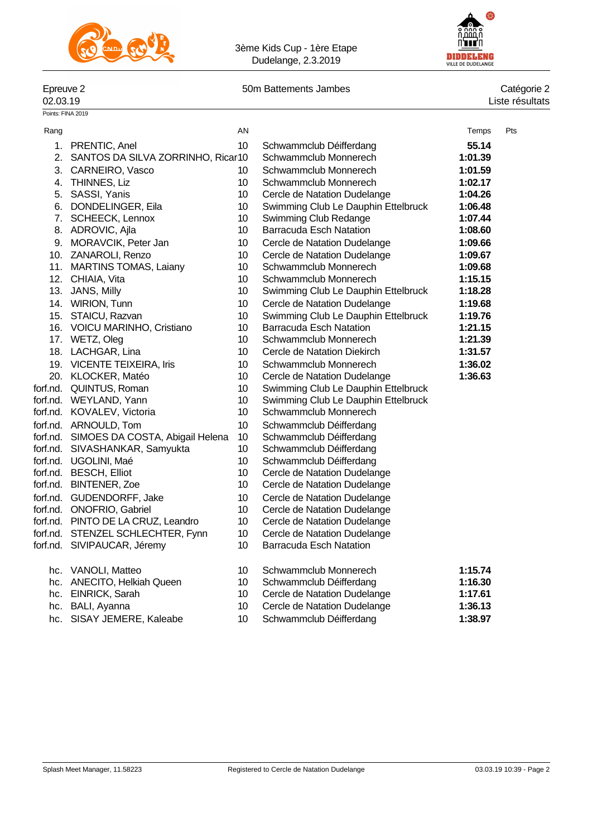



Points: FINA 2019

Epreuve 2 50m Battements Jambes 62.03.19

# Catégorie 2<br>Liste résultats

| Rang |                                          | AN |                                     | Temps   | Pts |
|------|------------------------------------------|----|-------------------------------------|---------|-----|
|      | 1. PRENTIC, Anel                         | 10 | Schwammclub Déifferdang             | 55.14   |     |
|      | 2. SANTOS DA SILVA ZORRINHO, Ricar10     |    | Schwammclub Monnerech               | 1:01.39 |     |
|      | 3. CARNEIRO, Vasco                       | 10 | Schwammclub Monnerech               | 1:01.59 |     |
|      | 4. THINNES, Liz                          | 10 | Schwammclub Monnerech               | 1:02.17 |     |
|      | 5. SASSI, Yanis                          | 10 | Cercle de Natation Dudelange        | 1:04.26 |     |
|      | 6. DONDELINGER, Eila                     | 10 | Swimming Club Le Dauphin Ettelbruck | 1:06.48 |     |
|      | 7. SCHEECK, Lennox                       | 10 | Swimming Club Redange               | 1:07.44 |     |
|      | 8. ADROVIC, Ajla                         | 10 | <b>Barracuda Esch Natation</b>      | 1:08.60 |     |
|      | 9. MORAVCIK, Peter Jan                   | 10 | Cercle de Natation Dudelange        | 1:09.66 |     |
|      | 10. ZANAROLI, Renzo                      | 10 | Cercle de Natation Dudelange        | 1:09.67 |     |
|      | 11. MARTINS TOMAS, Laiany                | 10 | Schwammclub Monnerech               | 1:09.68 |     |
|      | 12. CHIAIA, Vita                         | 10 | Schwammclub Monnerech               | 1:15.15 |     |
|      | 13. JANS, Milly                          | 10 | Swimming Club Le Dauphin Ettelbruck | 1:18.28 |     |
|      | 14. WIRION, Tunn                         | 10 | Cercle de Natation Dudelange        | 1:19.68 |     |
|      | 15. STAICU, Razvan                       | 10 | Swimming Club Le Dauphin Ettelbruck | 1:19.76 |     |
|      | 16. VOICU MARINHO, Cristiano             | 10 | <b>Barracuda Esch Natation</b>      | 1:21.15 |     |
|      | 17. WETZ, Oleg                           | 10 | Schwammclub Monnerech               | 1:21.39 |     |
|      | 18. LACHGAR, Lina                        | 10 | Cercle de Natation Diekirch         | 1:31.57 |     |
|      | 19. VICENTE TEIXEIRA, Iris               | 10 | Schwammclub Monnerech               | 1:36.02 |     |
|      | 20. KLOCKER, Matéo                       | 10 | Cercle de Natation Dudelange        | 1:36.63 |     |
|      | forf.nd. QUINTUS, Roman                  | 10 | Swimming Club Le Dauphin Ettelbruck |         |     |
|      | forf.nd. WEYLAND, Yann                   | 10 | Swimming Club Le Dauphin Ettelbruck |         |     |
|      | forf.nd. KOVALEV, Victoria               | 10 | Schwammclub Monnerech               |         |     |
|      | forf.nd. ARNOULD, Tom                    | 10 | Schwammclub Déifferdang             |         |     |
|      | forf.nd. SIMOES DA COSTA, Abigail Helena | 10 | Schwammclub Déifferdang             |         |     |
|      | forf.nd. SIVASHANKAR, Samyukta           | 10 | Schwammclub Déifferdang             |         |     |
|      | forf.nd. UGOLINI, Maé                    | 10 | Schwammclub Déifferdang             |         |     |
|      | forf.nd. BESCH, Elliot                   | 10 | Cercle de Natation Dudelange        |         |     |
|      | forf.nd. BINTENER, Zoe                   | 10 | Cercle de Natation Dudelange        |         |     |
|      | forf.nd. GUDENDORFF, Jake                | 10 | Cercle de Natation Dudelange        |         |     |
|      | forf.nd. ONOFRIO, Gabriel                | 10 | Cercle de Natation Dudelange        |         |     |
|      | forf.nd. PINTO DE LA CRUZ, Leandro       | 10 | Cercle de Natation Dudelange        |         |     |
|      | forf.nd. STENZEL SCHLECHTER, Fynn        | 10 | Cercle de Natation Dudelange        |         |     |
|      | forf.nd. SIVIPAUCAR, Jéremy              | 10 | Barracuda Esch Natation             |         |     |
|      | hc. VANOLI, Matteo                       | 10 | Schwammclub Monnerech               | 1:15.74 |     |
|      | hc. ANECITO, Helkiah Queen               | 10 | Schwammclub Déifferdang             | 1:16.30 |     |
|      | hc. EINRICK, Sarah                       | 10 | Cercle de Natation Dudelange        | 1:17.61 |     |
|      | hc. BALI, Ayanna                         | 10 | Cercle de Natation Dudelange        | 1:36.13 |     |
|      | hc. SISAY JEMERE, Kaleabe                | 10 | Schwammclub Déifferdang             | 1:38.97 |     |
|      |                                          |    |                                     |         |     |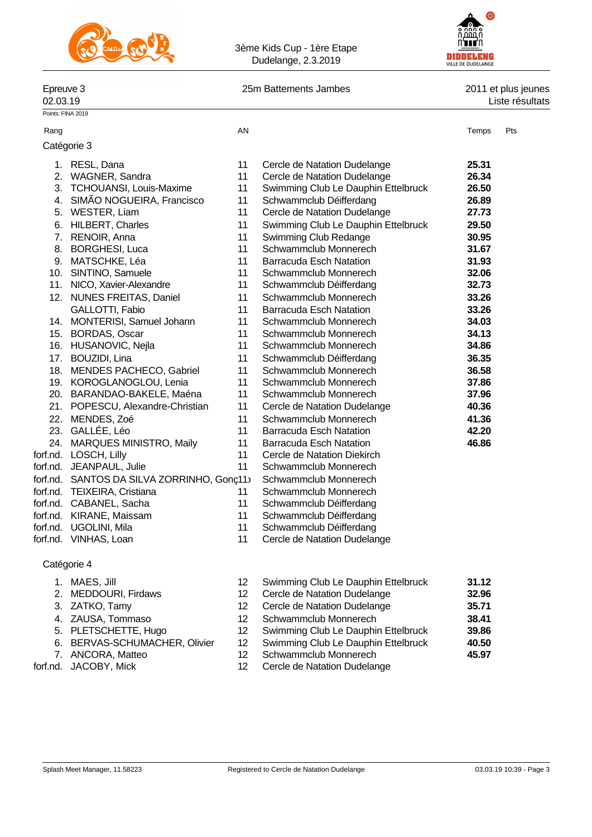



### Epreuve 3 25m Battements Jambes 2011 et plus jeunes

02.03.19 Liste résultats

Points: FINA 2019

#### Rang Roman and the Second Control of the AN Temps Pts and the Second Control of the Second Control of the Second Control of the Second Control of the Second Control of the Second Control of the Second Control of the Second

| Catégorie 3 |  |
|-------------|--|
|-------------|--|

|          | 1. RESL, Dana                              | 11              | Cercle de Natation Dudelange        | 25.31 |
|----------|--------------------------------------------|-----------------|-------------------------------------|-------|
|          | 2. WAGNER, Sandra                          | 11              | Cercle de Natation Dudelange        | 26.34 |
| 3.       | <b>TCHOUANSI, Louis-Maxime</b>             | 11              | Swimming Club Le Dauphin Ettelbruck | 26.50 |
| 4.       | SIMÃO NOGUEIRA, Francisco                  | 11              | Schwammclub Déifferdang             | 26.89 |
|          | 5. WESTER, Liam                            | 11              | Cercle de Natation Dudelange        | 27.73 |
|          | 6. HILBERT, Charles                        | 11              | Swimming Club Le Dauphin Ettelbruck | 29.50 |
|          | 7. RENOIR, Anna                            | 11              | Swimming Club Redange               | 30.95 |
|          | 8. BORGHESI, Luca                          | 11              | Schwammclub Monnerech               | 31.67 |
|          | 9. MATSCHKE, Léa                           | 11              | Barracuda Esch Natation             | 31.93 |
|          | 10. SINTINO, Samuele                       | 11              | Schwammclub Monnerech               | 32.06 |
|          | 11. NICO, Xavier-Alexandre                 | 11              | Schwammclub Déifferdang             | 32.73 |
|          | 12. NUNES FREITAS, Daniel                  | 11              | Schwammclub Monnerech               | 33.26 |
|          | GALLOTTI, Fabio                            | 11              | <b>Barracuda Esch Natation</b>      | 33.26 |
|          | 14. MONTERISI, Samuel Johann               | 11              | Schwammclub Monnerech               | 34.03 |
|          | 15. BORDAS, Oscar                          | 11              | Schwammclub Monnerech               | 34.13 |
|          | 16. HUSANOVIC, Nejla                       | 11              | Schwammclub Monnerech               | 34.86 |
|          | 17. BOUZIDI, Lina                          | 11              | Schwammclub Déifferdang             | 36.35 |
|          | 18. MENDES PACHECO, Gabriel                | 11              | Schwammclub Monnerech               | 36.58 |
|          | 19. KOROGLANOGLOU, Lenia                   | 11              | Schwammclub Monnerech               | 37.86 |
|          | 20. BARANDAO-BAKELE, Maéna                 | 11              | Schwammclub Monnerech               | 37.96 |
|          | 21. POPESCU, Alexandre-Christian           | 11              | Cercle de Natation Dudelange        | 40.36 |
|          | 22. MENDES, Zoé                            | 11              | Schwammclub Monnerech               | 41.36 |
|          | 23. GALLÉE, Léo                            | 11              | Barracuda Esch Natation             | 42.20 |
|          | 24. MARQUES MINISTRO, Maily                | 11              | <b>Barracuda Esch Natation</b>      | 46.86 |
|          | forf.nd. LOSCH, Lilly                      | 11              | Cercle de Natation Diekirch         |       |
|          | forf.nd. JEANPAUL, Julie                   | 11              | Schwammclub Monnerech               |       |
|          | forf.nd. SANTOS DA SILVA ZORRINHO, Gonç11) |                 | Schwammclub Monnerech               |       |
|          | forf.nd. TEIXEIRA, Cristiana               | 11              | Schwammclub Monnerech               |       |
|          | forf.nd. CABANEL, Sacha                    | 11              | Schwammclub Déifferdang             |       |
|          | forf.nd. KIRANE, Maissam                   | 11              | Schwammclub Déifferdang             |       |
| forf.nd. | UGOLINI, Mila                              | 11              | Schwammclub Déifferdang             |       |
|          | forf.nd. VINHAS, Loan                      | 11              | Cercle de Natation Dudelange        |       |
|          | Catégorie 4                                |                 |                                     |       |
|          | 1. MAES, Jill                              | 12 <sup>2</sup> | Swimming Club Le Dauphin Ettelbruck | 31.12 |
|          | 2. MEDDOURI, Firdaws                       | 12              | Cercle de Natation Dudelange        | 32.96 |

- 
- 
- 
- 
- 

- 3. ZATKO, Tamy 12 Cercle de Natation Dudelange **35.71** 4. ZAUSA, Tommaso 12 Schwammclub Monnerech **38.41** 5. PLETSCHETTE, Hugo 12 Swimming Club Le Dauphin Ettelbruck **39.86** 6. BERVAS-SCHUMACHER, Olivier 12 Swimming Club Le Dauphin Ettelbruck **40.50** 7. ANCORA, Matteo 12 Schwammclub Monnerech **45.97**
- forf.nd. JACOBY, Mick 12 Cercle de Natation Dudelange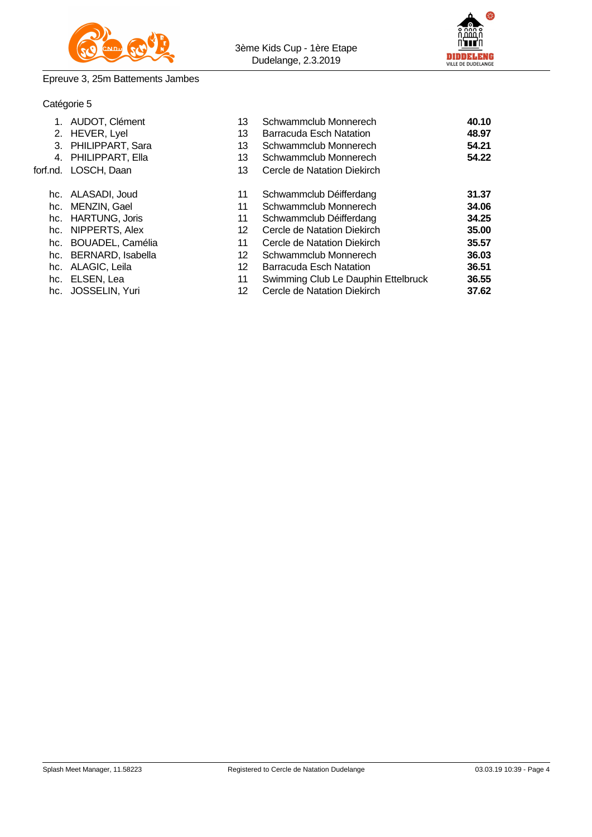

3ème Kids Cup - 1ère Etape Dudelange, 2.3.2019



### Epreuve 3, 25m Battements Jambes

### Catégorie 5

| 1. AUDOT, Clément     | 13              | Schwammclub Monnerech               | 40.10 |
|-----------------------|-----------------|-------------------------------------|-------|
| 2. HEVER, Lyel        | 13              | Barracuda Esch Natation             | 48.97 |
| 3. PHILIPPART, Sara   | 13              | Schwammclub Monnerech               | 54.21 |
| 4. PHILIPPART, Ella   | 13              | Schwammclub Monnerech               | 54.22 |
| forf.nd. LOSCH, Daan  | 13              | Cercle de Natation Diekirch         |       |
| hc. ALASADI, Joud     | 11              | Schwammclub Déifferdang             | 31.37 |
| hc. MENZIN, Gael      | 11              | Schwammclub Monnerech               | 34.06 |
| hc. HARTUNG, Joris    | 11              | Schwammclub Déifferdang             | 34.25 |
| hc. NIPPERTS, Alex    | 12              | Cercle de Natation Diekirch         | 35.00 |
| hc. BOUADEL, Camélia  | 11              | Cercle de Natation Diekirch         | 35.57 |
| hc. BERNARD, Isabella | 12              | Schwammclub Monnerech               | 36.03 |
| hc. ALAGIC, Leila     | 12 <sup>2</sup> | <b>Barracuda Esch Natation</b>      | 36.51 |
| hc. ELSEN, Lea        | 11              | Swimming Club Le Dauphin Ettelbruck | 36.55 |
| hc. JOSSELIN, Yuri    | 12              | Cercle de Natation Diekirch         | 37.62 |
|                       |                 |                                     |       |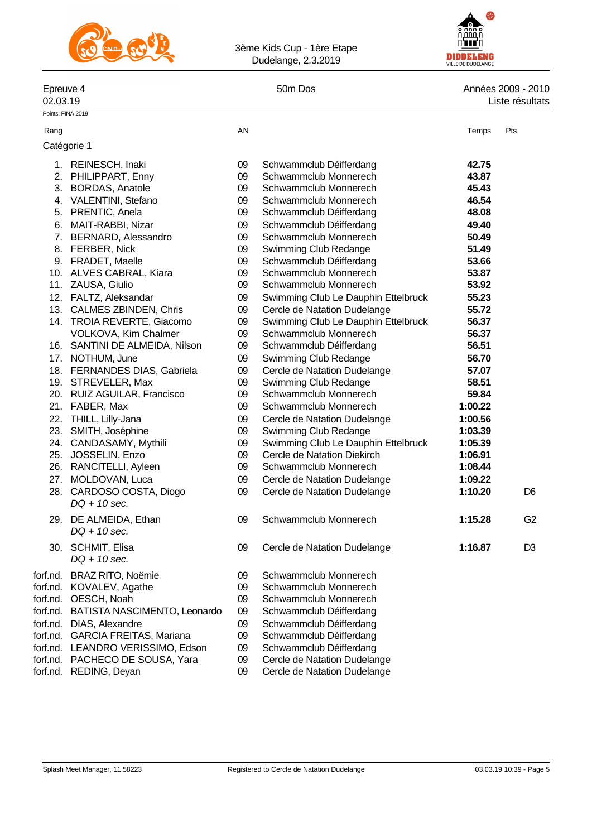

3ème Kids Cup - 1ère Etape Dudelange, 2.3.2019



## Epreuve 4 6000 50m Dos 50m Dos 60m Dos 60m Dos 60m Dos 60m Dos 60m Dos 60m Dos 60m Dos 60m Dos 60m Dos 60m Dos<br>C2.03.19 Liste résultats Liste résultats

|          | Points: FINA 2019                          |    |                                     |         |                |
|----------|--------------------------------------------|----|-------------------------------------|---------|----------------|
| Rang     |                                            | AN |                                     | Temps   | Pts            |
|          | Catégorie 1                                |    |                                     |         |                |
|          | 1. REINESCH, Inaki                         | 09 | Schwammclub Déifferdang             | 42.75   |                |
|          | 2. PHILIPPART, Enny                        | 09 | Schwammclub Monnerech               | 43.87   |                |
|          | 3. BORDAS, Anatole                         | 09 | Schwammclub Monnerech               | 45.43   |                |
|          | 4. VALENTINI, Stefano                      | 09 | Schwammclub Monnerech               | 46.54   |                |
|          | 5. PRENTIC, Anela                          | 09 | Schwammclub Déifferdang             | 48.08   |                |
|          | 6. MAIT-RABBI, Nizar                       | 09 | Schwammclub Déifferdang             | 49.40   |                |
|          | 7. BERNARD, Alessandro                     | 09 | Schwammclub Monnerech               | 50.49   |                |
|          | 8. FERBER, Nick                            | 09 | Swimming Club Redange               | 51.49   |                |
|          | 9. FRADET, Maelle                          | 09 | Schwammclub Déifferdang             | 53.66   |                |
|          | 10. ALVES CABRAL, Kiara                    | 09 | Schwammclub Monnerech               | 53.87   |                |
|          | 11. ZAUSA, Giulio                          | 09 | Schwammclub Monnerech               | 53.92   |                |
|          | 12. FALTZ, Aleksandar                      | 09 | Swimming Club Le Dauphin Ettelbruck | 55.23   |                |
|          | 13. CALMES ZBINDEN, Chris                  | 09 | Cercle de Natation Dudelange        | 55.72   |                |
|          | 14. TROIA REVERTE, Giacomo                 | 09 | Swimming Club Le Dauphin Ettelbruck | 56.37   |                |
|          | VOLKOVA, Kim Chalmer                       | 09 | Schwammclub Monnerech               | 56.37   |                |
|          | 16. SANTINI DE ALMEIDA, Nilson             | 09 | Schwammclub Déifferdang             | 56.51   |                |
|          | 17. NOTHUM, June                           | 09 | Swimming Club Redange               | 56.70   |                |
|          | 18. FERNANDES DIAS, Gabriela               | 09 | Cercle de Natation Dudelange        | 57.07   |                |
|          | 19. STREVELER, Max                         | 09 | Swimming Club Redange               | 58.51   |                |
|          | 20. RUIZ AGUILAR, Francisco                | 09 | Schwammclub Monnerech               | 59.84   |                |
|          | 21. FABER, Max                             | 09 | Schwammclub Monnerech               | 1:00.22 |                |
|          | 22. THILL, Lilly-Jana                      | 09 | Cercle de Natation Dudelange        | 1:00.56 |                |
|          | 23. SMITH, Joséphine                       | 09 | Swimming Club Redange               | 1:03.39 |                |
|          | 24. CANDASAMY, Mythili                     | 09 | Swimming Club Le Dauphin Ettelbruck | 1:05.39 |                |
|          | 25. JOSSELIN, Enzo                         | 09 | Cercle de Natation Diekirch         | 1:06.91 |                |
|          | 26. RANCITELLI, Ayleen                     | 09 | Schwammclub Monnerech               | 1:08.44 |                |
|          | 27. MOLDOVAN, Luca                         | 09 | Cercle de Natation Dudelange        | 1:09.22 |                |
|          | 28. CARDOSO COSTA, Diogo<br>$DQ + 10$ sec. | 09 | Cercle de Natation Dudelange        | 1:10.20 | D <sub>6</sub> |
|          | 29. DE ALMEIDA, Ethan                      | 09 | Schwammclub Monnerech               | 1:15.28 | G <sub>2</sub> |
|          | $DQ + 10$ sec.                             |    |                                     |         |                |
|          | 30. SCHMIT, Elisa                          | 09 | Cercle de Natation Dudelange        | 1:16.87 | D <sub>3</sub> |
|          | $DQ + 10$ sec.                             |    |                                     |         |                |
| forf.nd. | <b>BRAZ RITO, Noëmie</b>                   | 09 | Schwammclub Monnerech               |         |                |
| forf.nd. | KOVALEV, Agathe                            | 09 | Schwammclub Monnerech               |         |                |
| forf.nd. | OESCH, Noah                                | 09 | Schwammclub Monnerech               |         |                |
| forf.nd. | BATISTA NASCIMENTO, Leonardo               | 09 | Schwammclub Déifferdang             |         |                |
| forf.nd. | DIAS, Alexandre                            | 09 | Schwammclub Déifferdang             |         |                |
| forf.nd. | <b>GARCIA FREITAS, Mariana</b>             | 09 | Schwammclub Déifferdang             |         |                |
| forf.nd. | LEANDRO VERISSIMO, Edson                   | 09 | Schwammclub Déifferdang             |         |                |
| forf.nd. | PACHECO DE SOUSA, Yara                     | 09 | Cercle de Natation Dudelange        |         |                |
| forf.nd. | REDING, Deyan                              | 09 | Cercle de Natation Dudelange        |         |                |
|          |                                            |    |                                     |         |                |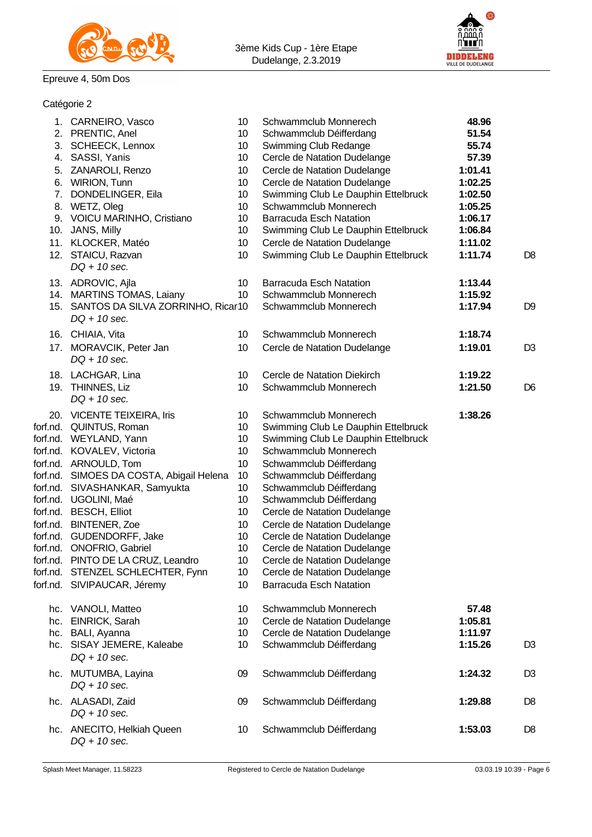

## Epreuve 4, 50m Dos

Catégorie 2



| 1. CARNEIRO, Vasco<br>2. PRENTIC, Anel<br>3. SCHEECK, Lennox | 10<br>10<br>10 <sup>°</sup> | Schwammclub Monnerech<br>Schwammclub Déifferdang<br>Swimming Club Redange | 48.96<br>51.54<br>55.74 |                |
|--------------------------------------------------------------|-----------------------------|---------------------------------------------------------------------------|-------------------------|----------------|
| 4. SASSI, Yanis                                              | 10                          | Cercle de Natation Dudelange                                              | 57.39                   |                |
| 5. ZANAROLI, Renzo                                           | 10 <sup>°</sup>             | Cercle de Natation Dudelange                                              | 1:01.41                 |                |
| 6. WIRION, Tunn                                              | 10                          | Cercle de Natation Dudelange                                              | 1:02.25                 |                |
| 7. DONDELINGER, Eila                                         | 10                          | Swimming Club Le Dauphin Ettelbruck                                       | 1:02.50                 |                |
| 8. WETZ, Oleg                                                | 10                          | Schwammclub Monnerech                                                     | 1:05.25                 |                |
| 9. VOICU MARINHO, Cristiano                                  | 10                          | <b>Barracuda Esch Natation</b>                                            | 1:06.17                 |                |
| 10. JANS, Milly                                              | 10                          | Swimming Club Le Dauphin Ettelbruck                                       | 1:06.84                 |                |
| 11. KLOCKER, Matéo                                           | 10                          | Cercle de Natation Dudelange                                              | 1:11.02                 |                |
| 12. STAICU, Razvan<br>$DQ + 10$ sec.                         | 10                          | Swimming Club Le Dauphin Ettelbruck                                       | 1:11.74                 | D <sub>8</sub> |
| 13. ADROVIC, Ajla                                            | 10                          | <b>Barracuda Esch Natation</b>                                            | 1:13.44                 |                |
| 14. MARTINS TOMAS, Laiany                                    | 10                          | Schwammclub Monnerech                                                     | 1:15.92                 |                |
| 15. SANTOS DA SILVA ZORRINHO, Ricar10<br>$DQ + 10$ sec.      |                             | Schwammclub Monnerech                                                     | 1:17.94                 | D <sub>9</sub> |
| 16. CHIAIA, Vita                                             | 10                          | Schwammclub Monnerech                                                     | 1:18.74                 |                |
| 17. MORAVCIK, Peter Jan<br>$DQ + 10$ sec.                    | 10                          | Cercle de Natation Dudelange                                              | 1:19.01                 | D3             |
| 18. LACHGAR, Lina                                            | 10                          | Cercle de Natation Diekirch                                               | 1:19.22                 |                |
| 19. THINNES, Liz<br>$DQ + 10$ sec.                           | 10                          | Schwammclub Monnerech                                                     | 1:21.50                 | D <sub>6</sub> |
| 20. VICENTE TEIXEIRA, Iris                                   | 10                          | Schwammclub Monnerech                                                     | 1:38.26                 |                |
| forf.nd. QUINTUS, Roman                                      | 10                          | Swimming Club Le Dauphin Ettelbruck                                       |                         |                |
| forf.nd. WEYLAND, Yann                                       | 10                          | Swimming Club Le Dauphin Ettelbruck                                       |                         |                |
| forf.nd. KOVALEV, Victoria                                   | 10                          | Schwammclub Monnerech                                                     |                         |                |
| forf.nd. ARNOULD, Tom                                        | 10                          | Schwammclub Déifferdang                                                   |                         |                |
| forf.nd. SIMOES DA COSTA, Abigail Helena                     | 10                          | Schwammclub Déifferdang                                                   |                         |                |
| forf.nd. SIVASHANKAR, Samyukta                               | 10                          | Schwammclub Déifferdang                                                   |                         |                |
| forf.nd. UGOLINI, Maé                                        | 10 <sup>°</sup>             | Schwammclub Déifferdang                                                   |                         |                |
| forf.nd. BESCH, Elliot                                       | 10 <sup>°</sup>             | Cercle de Natation Dudelange                                              |                         |                |
| forf.nd. BINTENER, Zoe                                       | 10 <sup>°</sup>             | Cercle de Natation Dudelange                                              |                         |                |
| forf.nd. GUDENDORFF, Jake                                    | 10                          | Cercle de Natation Dudelange                                              |                         |                |
| forf.nd. ONOFRIO, Gabriel                                    | 10                          | Cercle de Natation Dudelange                                              |                         |                |
| forf.nd. PINTO DE LA CRUZ, Leandro                           | 10 <sup>1</sup>             | Cercle de Natation Dudelange                                              |                         |                |
| forf.nd. STENZEL SCHLECHTER, Fynn                            | 10                          | Cercle de Natation Dudelange                                              |                         |                |
| forf.nd. SIVIPAUCAR, Jéremy                                  | 10                          | <b>Barracuda Esch Natation</b>                                            |                         |                |
| hc. VANOLI, Matteo                                           | 10 <sup>°</sup>             | Schwammclub Monnerech                                                     | 57.48                   |                |
| hc. EINRICK, Sarah                                           | 10 <sup>°</sup>             | Cercle de Natation Dudelange                                              | 1:05.81                 |                |
| hc. BALI, Ayanna                                             | 10                          | Cercle de Natation Dudelange                                              | 1:11.97                 |                |
| hc. SISAY JEMERE, Kaleabe<br>$DQ + 10$ sec.                  | 10                          | Schwammclub Déifferdang                                                   | 1:15.26                 | D3             |
| hc. MUTUMBA, Layina<br>$DQ + 10$ sec.                        | 09                          | Schwammclub Déifferdang                                                   | 1:24.32                 | D3             |
| hc. ALASADI, Zaid<br>$DQ + 10$ sec.                          | 09                          | Schwammclub Déifferdang                                                   | 1:29.88                 | D8             |
| hc. ANECITO, Helkiah Queen<br>DQ + 10 sec.                   | 10                          | Schwammclub Déifferdang                                                   | 1:53.03                 | D8             |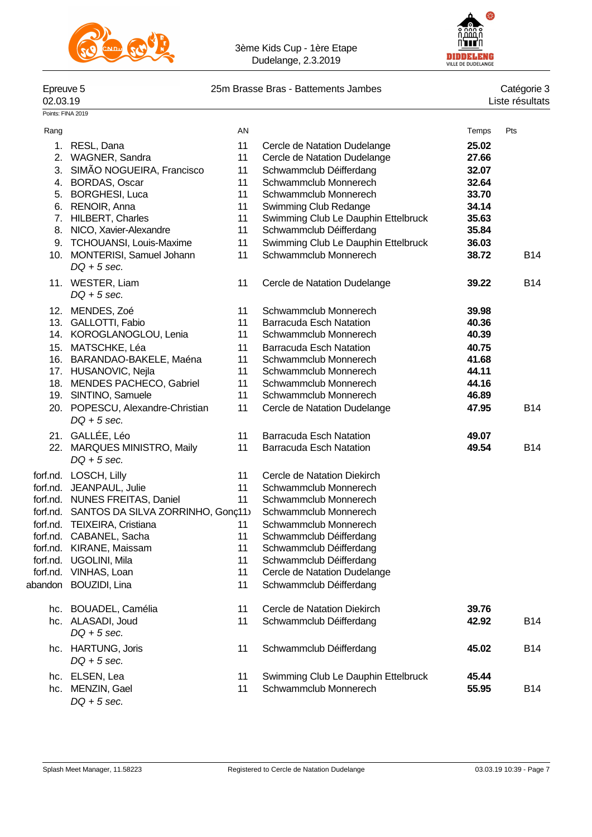



# Epreuve 5 25m Brasse Bras - Battements Jambes<br>02.03.19

Points: FINA 2019

| Epreuve 5 | 25m Brasse Bras - Battements Jambes | Catégorie 3     |
|-----------|-------------------------------------|-----------------|
| 02.03.19  |                                     | Liste résultats |

| Rang     |                                                   | AN |                                     | Temps | Pts        |
|----------|---------------------------------------------------|----|-------------------------------------|-------|------------|
| 1.       | RESL, Dana                                        | 11 | Cercle de Natation Dudelange        | 25.02 |            |
|          | 2. WAGNER, Sandra                                 | 11 | Cercle de Natation Dudelange        | 27.66 |            |
|          | 3. SIMÃO NOGUEIRA, Francisco                      | 11 | Schwammclub Déifferdang             | 32.07 |            |
|          | 4. BORDAS, Oscar                                  | 11 | Schwammclub Monnerech               | 32.64 |            |
|          | 5. BORGHESI, Luca                                 | 11 | Schwammclub Monnerech               | 33.70 |            |
|          | 6. RENOIR, Anna                                   | 11 | Swimming Club Redange               | 34.14 |            |
|          | 7. HILBERT, Charles                               | 11 | Swimming Club Le Dauphin Ettelbruck | 35.63 |            |
|          | 8. NICO, Xavier-Alexandre                         | 11 | Schwammclub Déifferdang             | 35.84 |            |
|          | 9. TCHOUANSI, Louis-Maxime                        | 11 | Swimming Club Le Dauphin Ettelbruck | 36.03 |            |
|          | 10. MONTERISI, Samuel Johann<br>$DQ + 5$ sec.     | 11 | Schwammclub Monnerech               | 38.72 | B14        |
|          | 11. WESTER, Liam<br>$DQ + 5$ sec.                 | 11 | Cercle de Natation Dudelange        | 39.22 | B14        |
|          | 12. MENDES, Zoé                                   | 11 | Schwammclub Monnerech               | 39.98 |            |
|          | 13. GALLOTTI, Fabio                               | 11 | <b>Barracuda Esch Natation</b>      | 40.36 |            |
|          | 14. KOROGLANOGLOU, Lenia                          | 11 | Schwammclub Monnerech               | 40.39 |            |
|          | 15. MATSCHKE, Léa                                 | 11 | <b>Barracuda Esch Natation</b>      | 40.75 |            |
|          | 16. BARANDAO-BAKELE, Maéna                        | 11 | Schwammclub Monnerech               | 41.68 |            |
|          | 17. HUSANOVIC, Nejla                              | 11 | Schwammclub Monnerech               | 44.11 |            |
|          | 18. MENDES PACHECO, Gabriel                       | 11 | Schwammclub Monnerech               | 44.16 |            |
|          | 19. SINTINO, Samuele                              | 11 | Schwammclub Monnerech               | 46.89 |            |
|          | 20. POPESCU, Alexandre-Christian<br>$DQ + 5$ sec. | 11 | Cercle de Natation Dudelange        | 47.95 | <b>B14</b> |
|          | 21. GALLÉE, Léo                                   | 11 | <b>Barracuda Esch Natation</b>      | 49.07 |            |
|          | 22. MARQUES MINISTRO, Maily<br>$DQ + 5$ sec.      | 11 | <b>Barracuda Esch Natation</b>      | 49.54 | <b>B14</b> |
|          | forf.nd. LOSCH, Lilly                             | 11 | Cercle de Natation Diekirch         |       |            |
|          | forf.nd. JEANPAUL, Julie                          | 11 | Schwammclub Monnerech               |       |            |
|          | forf.nd. NUNES FREITAS, Daniel                    | 11 | Schwammclub Monnerech               |       |            |
|          | forf.nd. SANTOS DA SILVA ZORRINHO, Gonç11)        |    | Schwammclub Monnerech               |       |            |
|          | forf.nd. TEIXEIRA, Cristiana                      | 11 | Schwammclub Monnerech               |       |            |
|          | forf.nd. CABANEL, Sacha                           | 11 | Schwammclub Déifferdang             |       |            |
|          | forf.nd. KIRANE, Maissam                          | 11 | Schwammclub Déifferdang             |       |            |
| forf.nd. | UGOLINI, Mila                                     | 11 | Schwammclub Déifferdang             |       |            |
|          | forf.nd. VINHAS, Loan                             | 11 | Cercle de Natation Dudelange        |       |            |
|          | abandon BOUZIDI, Lina                             | 11 | Schwammclub Déifferdang             |       |            |
|          | hc. BOUADEL, Camélia                              | 11 | Cercle de Natation Diekirch         | 39.76 |            |
|          | hc. ALASADI, Joud                                 | 11 | Schwammclub Déifferdang             | 42.92 | B14        |
|          | $DQ + 5$ sec.                                     |    |                                     |       |            |
|          | hc. HARTUNG, Joris                                | 11 | Schwammclub Déifferdang             | 45.02 | <b>B14</b> |
|          | $DQ + 5$ sec.                                     |    |                                     |       |            |
|          | hc. ELSEN, Lea                                    | 11 | Swimming Club Le Dauphin Ettelbruck | 45.44 |            |
|          | hc. MENZIN, Gael                                  | 11 | Schwammclub Monnerech               | 55.95 | <b>B14</b> |
|          | $DQ + 5$ sec.                                     |    |                                     |       |            |